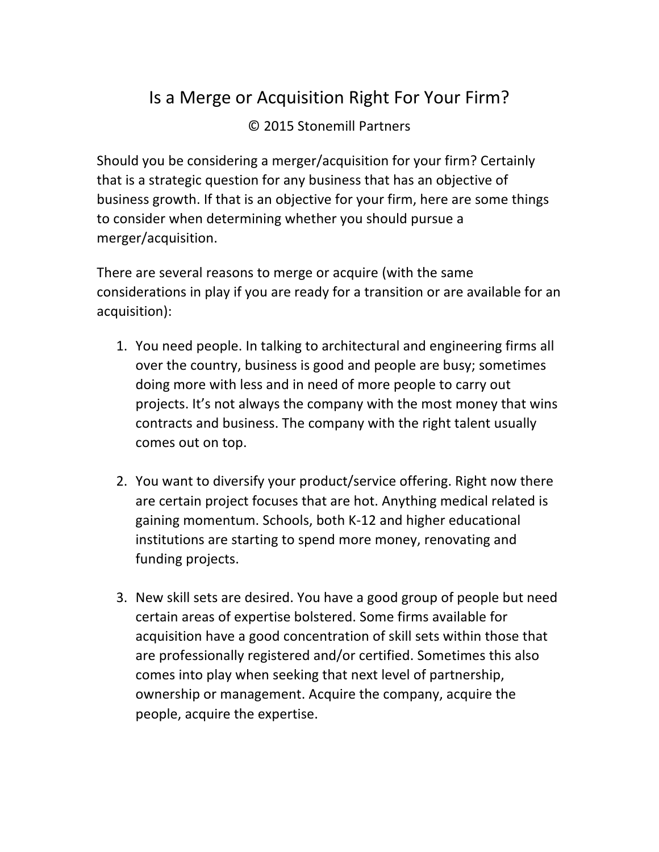## Is a Merge or Acquisition Right For Your Firm?

## © 2015 Stonemill Partners

Should you be considering a merger/acquisition for your firm? Certainly that is a strategic question for any business that has an objective of business growth. If that is an objective for your firm, here are some things to consider when determining whether you should pursue a merger/acquisition.

There are several reasons to merge or acquire (with the same considerations in play if you are ready for a transition or are available for an acquisition):

- 1. You need people. In talking to architectural and engineering firms all over the country, business is good and people are busy; sometimes doing more with less and in need of more people to carry out projects. It's not always the company with the most money that wins contracts and business. The company with the right talent usually comes out on top.
- 2. You want to diversify your product/service offering. Right now there are certain project focuses that are hot. Anything medical related is gaining momentum. Schools, both K-12 and higher educational institutions are starting to spend more money, renovating and funding projects.
- 3. New skill sets are desired. You have a good group of people but need certain areas of expertise bolstered. Some firms available for acquisition have a good concentration of skill sets within those that are professionally registered and/or certified. Sometimes this also comes into play when seeking that next level of partnership, ownership or management. Acquire the company, acquire the people, acquire the expertise.